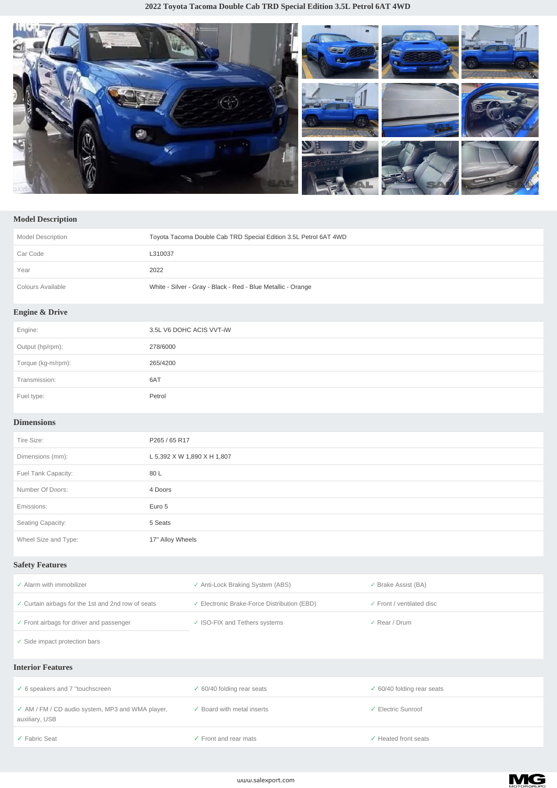

## **Model Description**

| Model Description         | Toyota Tacoma Double Cab TRD Special Edition 3.5L Petrol 6AT 4WD |
|---------------------------|------------------------------------------------------------------|
| Car Code                  | L310037                                                          |
| Year                      | 2022                                                             |
| Colours Available         | White - Silver - Gray - Black - Red - Blue Metallic - Orange     |
| <b>Engine &amp; Drive</b> |                                                                  |
| Engine:                   | 3.5L V6 DOHC ACIS VVT-iW                                         |
| Output (hp/rpm):          | 278/6000                                                         |
| Torque (kg-m/rpm):        | 265/4200                                                         |
| Transmission:             | 6AT                                                              |
| Fuel type:                | Petrol                                                           |

## **Dimensions**

| Tire Size:           | P265 / 65 R17               |
|----------------------|-----------------------------|
| Dimensions (mm):     | L 5,392 X W 1,890 X H 1,807 |
| Fuel Tank Capacity:  | 80 L                        |
| Number Of Doors:     | 4 Doors                     |
| Emissions:           | Euro 5                      |
| Seating Capacity:    | 5 Seats                     |
| Wheel Size and Type: | 17" Alloy Wheels            |

## **Safety Features**

| Alarm with immobilizer                              | ✓ Anti-Lock Braking System (ABS)            | $\checkmark$ Brake Assist (BA)       |
|-----------------------------------------------------|---------------------------------------------|--------------------------------------|
| ✓ Curtain airbags for the 1st and 2nd row of seats  | ✓ Electronic Brake-Force Distribution (EBD) | $\checkmark$ Front / ventilated disc |
| $\checkmark$ Front airbags for driver and passenger | ✓ ISO-FIX and Tethers systems               | $\checkmark$ Rear / Drum             |
| $\checkmark$ Side impact protection bars            |                                             |                                      |
|                                                     |                                             |                                      |

## **Interior Features**

| $\checkmark$ 6 speakers and 7 "touchscreen                         | $\checkmark$ 60/40 folding rear seats         | $\checkmark$ 60/40 folding rear seats |
|--------------------------------------------------------------------|-----------------------------------------------|---------------------------------------|
| ✓ AM / FM / CD audio system, MP3 and WMA player,<br>auxiliary, USB | $\sqrt{\phantom{a}}$ Board with metal inserts | Electric Sunroof                      |
| ✔ Fabric Seat                                                      | $\checkmark$ Front and rear mats              | Heated front seats                    |